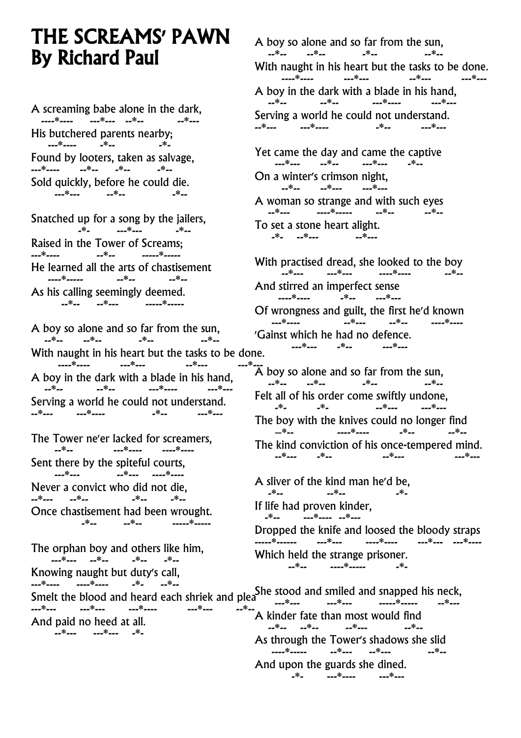## THE SCREAMS' PAWN By Richard Paul

A screaming babe alone in the dark, ----\*---- ---\*---<br>--\*-- ---\*--- ---\*--His butchered parents nearby; ---\*---- -\*-- -\*- Found by looters, taken as salvage, ---\*---- --\*-- -\*-- -\*-- Sold quickly, before he could die. ---\*--- --\*-- -\*--

Snatched up for a song by the jailers,<br> $\frac{3}{2}$ <br> $\frac{3}{2}$ <br> $\frac{3}{2}$ <br> $\frac{3}{2}$  -\*- ---\*--- -\*-- Raised in the Tower of Screams; --\*-- -----\*-----He learned all the arts of chastisement ----\*----- --\*-- --\*-- As his calling seemingly deemed. --\*-- --\*--- -----\*-----

A boy so alone and so far from the sun,  $-$ \*--  $-$ \*--With naught in his heart but the tasks to be done. \_\_\_\_\*\_\_\_\_ \_\_\_\*\_\_\_ \_\_\*\_\_\_ A boy in the dark with a blade in his hand, --\*-- --\*-- ---\*---- ---\*--- Serving a world he could not understand.<br>--\*--- ----\*---- ---- ---- ----- ----- -----\_\_\*\_\_\_\_<sup>\_\_</sup>\_\_\_\_\*\_\_\_\_

The Tower ne'er lacked for screamers, --\*-- ---\*---- ----\*---- Sent there by the spiteful courts, -<br>--\*--- ----\*----Never a convict who did not die, \_\_\*\_\_\_ \_\_\*\_\_ \_\*\_\_ \_\*\_\_ Once chastisement had been wrought. -\**--* --\*-- -----\*----

The orphan boy and others like him, ---\*--- --\*-- -\*-- -\*-- Knowing naught but duty's call,<br>---\*---- -----\*---- --- --\*----\*---- ----\*---- -\*- --\*--<br>---\*---

A boy so alone and so far from the sun,  $-*- -*-$ With naught in his heart but the tasks to be done.<br> $\frac{1}{2}$ <br> $\frac{1}{2}$ <br> $\frac{1}{2}$ <br> $\frac{1}{2}$ <br> $\frac{1}{2}$ <br> $\frac{1}{2}$ <br> $\frac{1}{2}$ <br> $\frac{1}{2}$ <br> $\frac{1}{2}$ <br> $\frac{1}{2}$ <br> $\frac{1}{2}$ <br> $\frac{1}{2}$ <br> $\frac{1}{2}$ <br> $\frac{1}{2}$  ----\*---- ---\*--- --\*--- ---\*--- A boy in the dark with a blade in his hand, --\*-- --\*-- ---\*---- ---\*--- Serving a world he could not understand.<br>--\*--- ----\*---- ---- ---- ----- --------\*--- ---\*---- -\*-- ---\*--- Yet came the day and came the captive ---\*--- --\*-- ---\*--- -\*-- On a winter's crimson night, --\*-- --\*--- ---\*--- A woman so strange and with such eyes --\*--- ----\*----- --\*-- --\*-- To set a stone heart alight. -\*- --\*--- --\*---

With practised dread, she looked to the boy .<br>*--*\**--- ---*\**--- ----*\**----*And stirred an imperfect sense -\**--* ---\**---*Of wrongness and guilt, the first he'd known ---\*---- --\*--- --\*-- ----\*---- 'Gainst which he had no defence.<br> $\frac{1}{2}$ ---\*--- -\*-- ---\*---

 $\overline{A}$  boy so alone and so far from the sun,  $-$ \*--  $-$ \*--  $-$ \*--  $-$ \*--Felt all of his order come swiftly undone,  $*$  ---The boy with the knives could no longer find<br> $e^{i\theta} = e^{i\theta}$  –\*-- ----\*---- -\*-- --\*-- The kind conviction of his once-tempered mind. \_\_\*\_\_\_ **\_\*\_\_** 

A sliver of the kind man he'd be,<br> $A^* = \frac{1}{2}$ \_\*\_\_ \_\_\_ \_\_\*\_\_ \_\_ \_\_\*\_\_ \_\_\*\_ If life had proven kinder, -\*-- ---\*---- --\*--- Dropped the knife and loosed the bloody straps -----\*------ ---\*--- ----\*---- ---\*--- ---\*---- Which held the strange prisoner. --\*-- ----\*----- -\*-

--- ----<br>Smelt the blood and heard each shriek and pleand the stood and smiled and snapped his neck, ---\*--- ---\*--- ---\*---- ---\*--- --\*-- And paid no heed at all. --\*--- ---\*--- -\*- ---\*--- ---\*--- -----\*---- --\*---<br>---<sup>\*</sup>---A kinder fate than most would find --\*-- --\*-- --\*--- --\*-- As through the Tower's shadows she slid ----\*----- --\*--- --\*--- --\*-- And upon the guards she dined. -\*- ---\*---- ---\*---